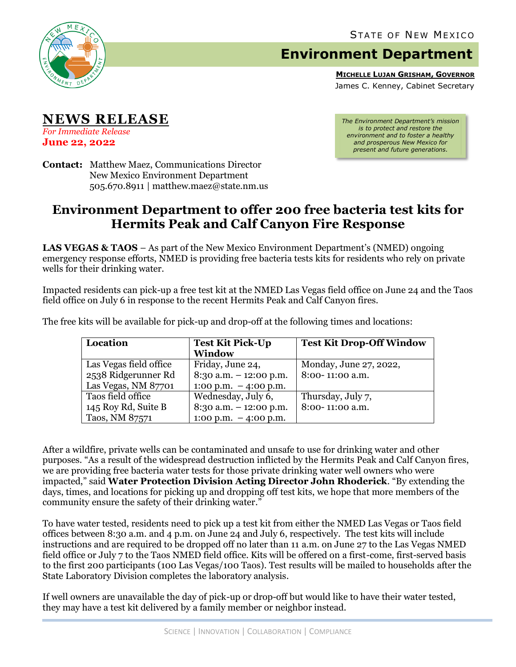

## **Environment Department**

**MICHELLE LUJAN GRISHAM, GOVERNOR**

James C. Kenney, Cabinet Secretary

**NEWS RELEASE** *For Immediate Release*

**June 22, 2022**

*The Environment Department's mission is to protect and restore the environment and to foster a healthy and prosperous New Mexico for present and future generations.*

**Contact:** Matthew Maez, Communications Director New Mexico Environment Department 505.670.8911 | matthew.maez@state.nm.us

## **Environment Department to offer 200 free bacteria test kits for Hermits Peak and Calf Canyon Fire Response**

**LAS VEGAS & TAOS** – As part of the New Mexico Environment Department's (NMED) ongoing emergency response efforts, NMED is providing free bacteria tests kits for residents who rely on private wells for their drinking water.

Impacted residents can pick-up a free test kit at the NMED Las Vegas field office on June 24 and the Taos field office on July 6 in response to the recent Hermits Peak and Calf Canyon fires.

| Location               | <b>Test Kit Pick-Up</b><br><b>Window</b> | <b>Test Kit Drop-Off Window</b> |
|------------------------|------------------------------------------|---------------------------------|
| Las Vegas field office | Friday, June 24,                         | Monday, June 27, 2022,          |
| 2538 Ridgerunner Rd    | $8:30$ a.m. $-12:00$ p.m.                | 8:00-11:00 a.m.                 |
| Las Vegas, NM 87701    | $1:00 \text{ p.m.} - 4:00 \text{ p.m.}$  |                                 |
| Taos field office      | Wednesday, July 6,                       | Thursday, July 7,               |
| 145 Roy Rd, Suite B    | $8:30$ a.m. $-12:00$ p.m.                | 8:00-11:00 a.m.                 |
| Taos, NM 87571         | $1:00 \text{ p.m.} - 4:00 \text{ p.m.}$  |                                 |

The free kits will be available for pick-up and drop-off at the following times and locations:

After a wildfire, private wells can be contaminated and unsafe to use for drinking water and other purposes. "As a result of the widespread destruction inflicted by the Hermits Peak and Calf Canyon fires, we are providing free bacteria water tests for those private drinking water well owners who were impacted," said **Water Protection Division Acting Director John Rhoderick**. "By extending the days, times, and locations for picking up and dropping off test kits, we hope that more members of the community ensure the safety of their drinking water."

To have water tested, residents need to pick up a test kit from either the NMED Las Vegas or Taos field offices between 8:30 a.m. and 4 p.m. on June 24 and July 6, respectively. The test kits will include instructions and are required to be dropped off no later than 11 a.m. on June 27 to the Las Vegas NMED field office or July 7 to the Taos NMED field office. Kits will be offered on a first-come, first-served basis to the first 200 participants (100 Las Vegas/100 Taos). Test results will be mailed to households after the State Laboratory Division completes the laboratory analysis.

If well owners are unavailable the day of pick-up or drop-off but would like to have their water tested, they may have a test kit delivered by a family member or neighbor instead.